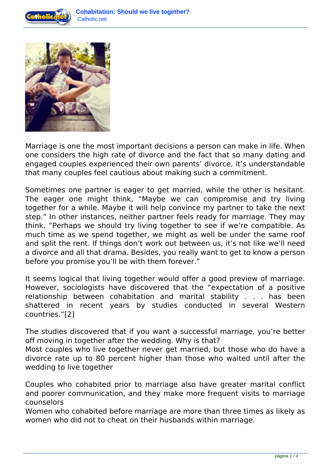



Marriage is one the most important decisions a person can make in life. When one considers the high rate of divorce and the fact that so many dating and engaged couples experienced their own parents' divorce, it's understandable that many couples feel cautious about making such a commitment.

Sometimes one partner is eager to get married, while the other is hesitant. The eager one might think, "Maybe we can compromise and try living together for a while. Maybe it will help convince my partner to take the next step." In other instances, neither partner feels ready for marriage. They may think, "Perhaps we should try living together to see if we're compatible. As much time as we spend together, we might as well be under the same roof and split the rent. If things don't work out between us, it's not like we'll need a divorce and all that drama. Besides, you really want to get to know a person before you promise you'll be with them forever."

It seems logical that living together would offer a good preview of marriage. However, sociologists have discovered that the "expectation of a positive relationship between cohabitation and marital stability . . . has been shattered in recent years by studies conducted in several Western countries."[2]

The studies discovered that if you want a successful marriage, you're better off moving in together after the wedding. Why is that?

Most couples who live together never get married, but those who do have a divorce rate up to 80 percent higher than those who waited until after the wedding to live together

Couples who cohabited prior to marriage also have greater marital conflict and poorer communication, and they make more frequent visits to marriage counselors

Women who cohabited before marriage are more than three times as likely as women who did not to cheat on their husbands within marriage.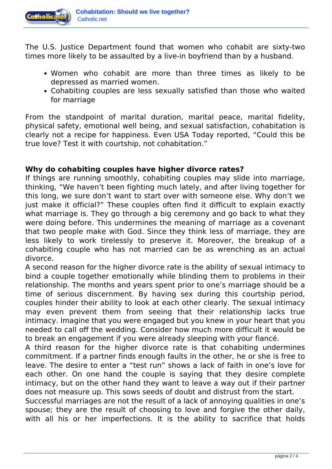

The U.S. Justice Department found that women who cohabit are sixty-two times more likely to be assaulted by a live-in boyfriend than by a husband.

- Women who cohabit are more than three times as likely to be depressed as married women.
- Cohabiting couples are less sexually satisfied than those who waited for marriage

From the standpoint of marital duration, marital peace, marital fidelity, physical safety, emotional well being, and sexual satisfaction, cohabitation is clearly not a recipe for happiness. Even USA Today reported, "Could this be true love? Test it with courtship, not cohabitation."

## **Why do cohabiting couples have higher divorce rates?**

If things are running smoothly, cohabiting couples may slide into marriage, thinking, "We haven't been fighting much lately, and after living together for this long, we sure don't want to start over with someone else. Why don't we just make it official?" These couples often find it difficult to explain exactly what marriage is. They go through a big ceremony and go back to what they were doing before. This undermines the meaning of marriage as a covenant that two people make with God. Since they think less of marriage, they are less likely to work tirelessly to preserve it. Moreover, the breakup of a cohabiting couple who has not married can be as wrenching as an actual divorce.

A second reason for the higher divorce rate is the ability of sexual intimacy to bind a couple together emotionally while blinding them to problems in their relationship. The months and years spent prior to one's marriage should be a time of serious discernment. By having sex during this courtship period, couples hinder their ability to look at each other clearly. The sexual intimacy may even prevent them from seeing that their relationship lacks true intimacy. Imagine that you were engaged but you knew in your heart that you needed to call off the wedding. Consider how much more difficult it would be to break an engagement if you were already sleeping with your fiancé.

A third reason for the higher divorce rate is that cohabiting undermines commitment. If a partner finds enough faults in the other, he or she is free to leave. The desire to enter a "test run" shows a lack of faith in one's love for each other. On one hand the couple is saying that they desire complete intimacy, but on the other hand they want to leave a way out if their partner does not measure up. This sows seeds of doubt and distrust from the start.

Successful marriages are not the result of a lack of annoying qualities in one's spouse; they are the result of choosing to love and forgive the other daily, with all his or her imperfections. It is the ability to sacrifice that holds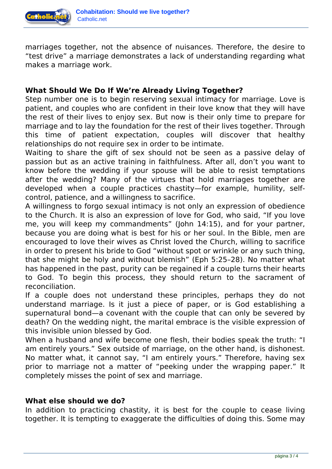

marriages together, not the absence of nuisances. Therefore, the desire to "test drive" a marriage demonstrates a lack of understanding regarding what makes a marriage work.

## **What Should We Do If We're Already Living Together?**

Step number one is to begin reserving sexual intimacy for marriage. Love is patient, and couples who are confident in their love know that they will have the rest of their lives to enjoy sex. But now is their only time to prepare for marriage and to lay the foundation for the rest of their lives together. Through this time of patient expectation, couples will discover that healthy relationships do not require sex in order to be intimate.

Waiting to share the gift of sex should not be seen as a passive delay of passion but as an active training in faithfulness. After all, don't you want to know before the wedding if your spouse will be able to resist temptations after the wedding? Many of the virtues that hold marriages together are developed when a couple practices chastity—for example, humility, selfcontrol, patience, and a willingness to sacrifice.

A willingness to forgo sexual intimacy is not only an expression of obedience to the Church. It is also an expression of love for God, who said, "If you love me, you will keep my commandments" (John 14:15), and for your partner, because you are doing what is best for his or her soul. In the Bible, men are encouraged to love their wives as Christ loved the Church, willing to sacrifice in order to present his bride to God "without spot or wrinkle or any such thing, that she might be holy and without blemish" (Eph 5:25–28). No matter what has happened in the past, purity can be regained if a couple turns their hearts to God. To begin this process, they should return to the sacrament of reconciliation.

If a couple does not understand these principles, perhaps they do not understand marriage. Is it just a piece of paper, or is God establishing a supernatural bond—a covenant with the couple that can only be severed by death? On the wedding night, the marital embrace is the visible expression of this invisible union blessed by God.

When a husband and wife become one flesh, their bodies speak the truth: "I am entirely yours." Sex outside of marriage, on the other hand, is dishonest. No matter what, it cannot say, "I am entirely yours." Therefore, having sex prior to marriage not a matter of "peeking under the wrapping paper." It completely misses the point of sex and marriage.

## **What else should we do?**

In addition to practicing chastity, it is best for the couple to cease living together. It is tempting to exaggerate the difficulties of doing this. Some may